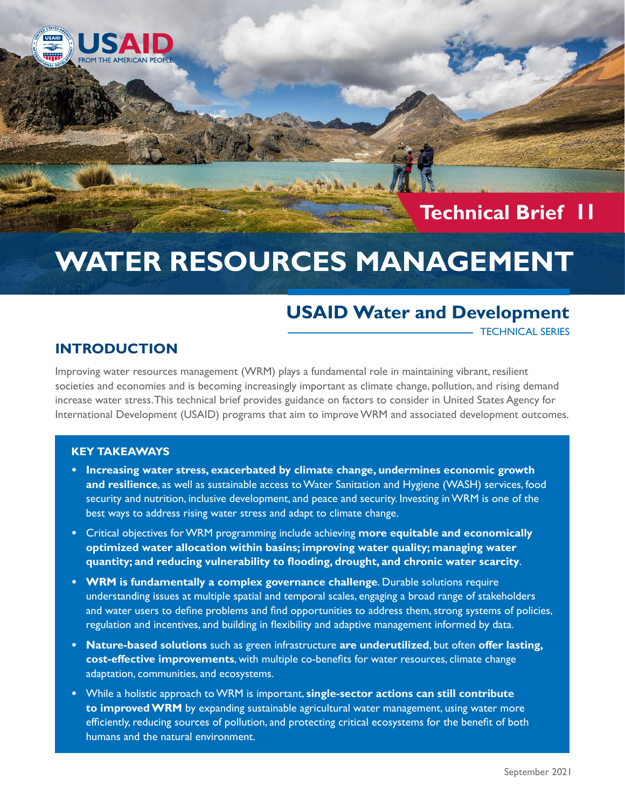

## **Technical Brief 11**

# **WATER RESOURCES MANAGEMENT**

## **USAID Water and Development**

TECHNICAL SERIES

## **INTRODUCTION**

Improving water resources management (WRM) plays a fundamental role in maintaining vibrant, resilient societies and economies and is becoming increasingly important as climate change, pollution, and rising demand increase water stress. This technical brief provides guidance on factors to consider in United States Agency for International Development (USAID) programs that aim to improve WRM and associated development outcomes.

#### **KEY TAKEAWAYS**

- **• Increasing water stress, exacerbated by climate change, undermines economic growth and resilience**, as well as sustainable access to Water Sanitation and Hygiene (WASH) services, food security and nutrition, inclusive development, and peace and security. Investing in WRM is one of the best ways to address rising water stress and adapt to climate change.
- **•** Critical objectives for WRM programming include achieving **more equitable and economically optimized water allocation within basins; improving water quality; managing water quantity; and reducing vulnerability to flooding, drought, and chronic water scarcity**.
- **• WRM is fundamentally a complex governance challenge**. Durable solutions require understanding issues at multiple spatial and temporal scales, engaging a broad range of stakeholders and water users to define problems and find opportunities to address them, strong systems of policies, regulation and incentives, and building in flexibility and adaptive management informed by data.
- **• Nature-based solutions** such as green infrastructure **are underutilized**, but often **offer lasting, cost-effective improvements**, with multiple co-benefits for water resources, climate change adaptation, communities, and ecosystems.
- **•** While a holistic approach to WRM is important, **single-sector actions can still contribute to improved WRM** by expanding sustainable agricultural water management, using water more efficiently, reducing sources of pollution, and protecting critical ecosystems for the benefit of both humans and the natural environment.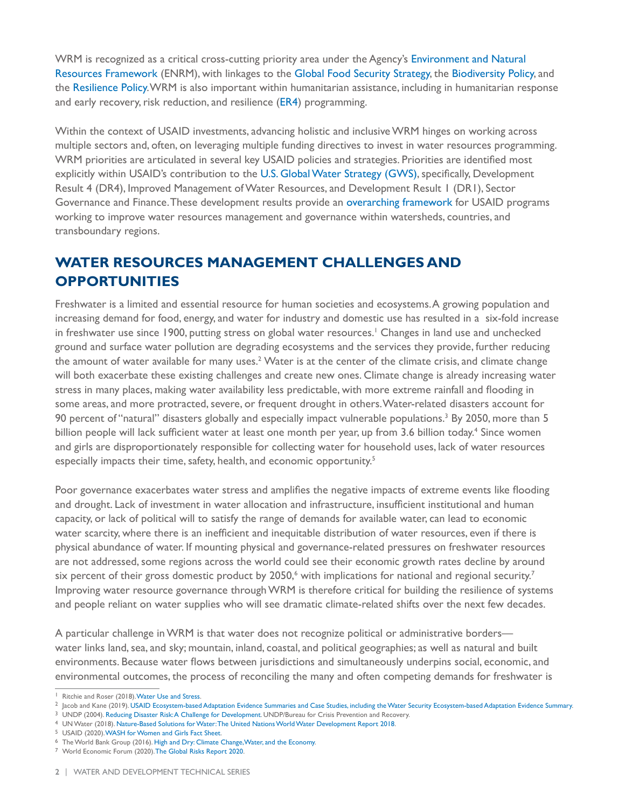WRM is recognized as a critical cross-cutting priority area under the Agency's [Environment and Natural](https://www.usaid.gov/documents/1865/environmental-and-natural-resource-management-framework-pdf)  [Resources Framework](https://www.usaid.gov/documents/1865/environmental-and-natural-resource-management-framework-pdf) (ENRM), with linkages to the [Global Food Security Strategy](https://www.usaid.gov/sites/default/files/documents/1867/USG-Global-Food-Security-Strategy-2016.pdf), the [Biodiversity Policy](https://www.usaid.gov/biodiversity/policy), and the [Resilience Policy.](https://www.usaid.gov/sites/default/files/documents/1870/USAIDResiliencePolicyGuidanceDocument.pdf) WRM is also important within humanitarian assistance, including in humanitarian response and early recovery, risk reduction, and resilience [\(ER4\)](https://www.usaid.gov/humanitarian-assistance/what-we-do/early-recovery-risk-reduction-resilience) programming.

Within the context of USAID investments, advancing holistic and inclusive WRM hinges on working across multiple sectors and, often, on leveraging multiple funding directives to invest in water resources programming. WRM priorities are articulated in several key USAID policies and strategies. Priorities are identified most explicitly within USAID's contribution to the [U.S. Global Water Strategy \(GWS\)](https://www.usaid.gov/what-we-do/water-and-sanitation/us-global-water-strategy#:~:text=The%20U.S.%20Global%20Water%20Strategy,healthy%2C%20prosperous%2C%20and%20resilient.&text=To%20advance%20the%20Strategy%2C%20the,to%20achieve%20four%20interrelated%20objectives.), specifically, Development Result 4 (DR4), Improved Management of Water Resources, and Development Result 1 (DR1), Sector Governance and Finance. These development results provide an [overarching framework](https://www.globalwaters.org/sites/default/files/gws_vision_flow_chart_final.jpg?src=wwd) for USAID programs working to improve water resources management and governance within watersheds, countries, and transboundary regions.

## **WATER RESOURCES MANAGEMENT CHALLENGES AND OPPORTUNITIES**

Freshwater is a limited and essential resource for human societies and ecosystems. A growing population and increasing demand for food, energy, and water for industry and domestic use has resulted in a six-fold increase in freshwater use since 1900, putting stress on global water resources.' Changes in land use and unchecked ground and surface water pollution are degrading ecosystems and the services they provide, further reducing the amount of water available for many uses. $2$  Water is at the center of the climate crisis, and climate change will both exacerbate these existing challenges and create new ones. Climate change is already increasing water stress in many places, making water availability less predictable, with more extreme rainfall and flooding in some areas, and more protracted, severe, or frequent drought in others. Water-related disasters account for 90 percent of "natural" disasters globally and especially impact vulnerable populations.<sup>3</sup> By 2050, more than 5 billion people will lack sufficient water at least one month per year, up from 3.6 billion today.<sup>4</sup> Since women and girls are disproportionately responsible for collecting water for household uses, lack of water resources especially impacts their time, safety, health, and economic opportunity.<sup>5</sup>

Poor governance exacerbates water stress and amplifies the negative impacts of extreme events like flooding and drought. Lack of investment in water allocation and infrastructure, insufficient institutional and human capacity, or lack of political will to satisfy the range of demands for available water, can lead to economic water scarcity, where there is an inefficient and inequitable distribution of water resources, even if there is physical abundance of water. If mounting physical and governance-related pressures on freshwater resources are not addressed, some regions across the world could see their economic growth rates decline by around six percent of their gross domestic product by 2050,<sup>6</sup> with implications for national and regional security.<sup>7</sup> Improving water resource governance through WRM is therefore critical for building the resilience of systems and people reliant on water supplies who will see dramatic climate-related shifts over the next few decades.

A particular challenge in WRM is that water does not recognize political or administrative borders water links land, sea, and sky; mountain, inland, coastal, and political geographies; as well as natural and built environments. Because water flows between jurisdictions and simultaneously underpins social, economic, and environmental outcomes, the process of reconciling the many and often competing demands for freshwater is

- 
- 
- 

7 World Economic Forum (2020). [The Global Risks Report 2020](https://www.weforum.org/reports/the-global-risks-report-2020).

<sup>&</sup>lt;sup>1</sup> Ritchie and Roser (2018)[. Water Use and Stress.](https://ourworldindata.org/water-use-stress)<br><sup>2</sup> Jacob and Kane (2019). [USAID Ecosystem-based Adaptation Evidence Summaries and Case Studies, including the Water Security Ecosystem-based Adaptation Evidence Summary](https://rmportal.net/biodiversityconservation-gateway/bio-news-events/new-usaid-ecosystem-based-adaptation-evidence-summary-and-case-study-series).

 $6$  The World Bank Group (2016). High and Dry: Climate Change, Water, and the Economy.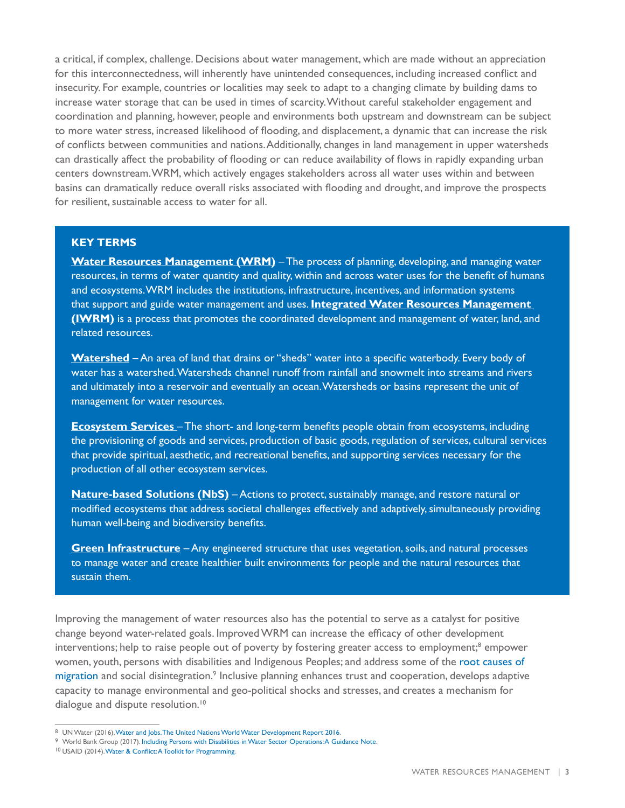a critical, if complex, challenge. Decisions about water management, which are made without an appreciation for this interconnectedness, will inherently have unintended consequences, including increased conflict and insecurity. For example, countries or localities may seek to adapt to a changing climate by building dams to increase water storage that can be used in times of scarcity. Without careful stakeholder engagement and coordination and planning, however, people and environments both upstream and downstream can be subject to more water stress, increased likelihood of flooding, and displacement, a dynamic that can increase the risk of conflicts between communities and nations. Additionally, changes in land management in upper watersheds can drastically affect the probability of flooding or can reduce availability of flows in rapidly expanding urban centers downstream. WRM, which actively engages stakeholders across all water uses within and between basins can dramatically reduce overall risks associated with flooding and drought, and improve the prospects for resilient, sustainable access to water for all.

#### **KEY TERMS**

**[Water Resources Management \(WRM\)](https://www.worldbank.org/en/topic/waterresourcesmanagement#:~:text=Water%20Resources%20Management%20(WRM)%20is,support%20and%20guide%20water%20management.)** – The process of planning, developing, and managing water resources, in terms of water quantity and quality, within and across water uses for the benefit of humans and ecosystems. WRM includes the institutions, infrastructure, incentives, and information systems that support and guide water management and uses. **[Integrated Water Resources Management](https://www.un.org/waterforlifedecade/iwrm.shtml)  [\(IWRM\)](https://www.un.org/waterforlifedecade/iwrm.shtml)** is a process that promotes the coordinated development and management of water, land, and related resources.

**[Watershed](https://www.usgs.gov/special-topic/water-science-school/science/watersheds-and-drainage-basins?qt-science_center_objects=0#qt-science_center_objects)** – An area of land that drains or "sheds" water into a specific waterbody. Every body of water has a watershed. Watersheds channel runoff from rainfall and snowmelt into streams and rivers and ultimately into a reservoir and eventually an ocean. Watersheds or basins represent the unit of management for water resources.

**[Ecosystem Services](http://www.fao.org/ecosystem-services-biodiversity/en/)** – The short- and long-term benefits people obtain from ecosystems, including the provisioning of goods and services, production of basic goods, regulation of services, cultural services that provide spiritual, aesthetic, and recreational benefits, and supporting services necessary for the production of all other ecosystem services.

**[Nature-based Solutions \(NbS\)](https://www.iucn.org/theme/nature-based-solutions)** – Actions to protect, sustainably manage, and restore natural or modified ecosystems that address societal challenges effectively and adaptively, simultaneously providing human well-being and biodiversity benefits.

**[Green Infrastructure](https://www.americanrivers.org/threats-solutions/clean-water/green-infrastructure/what-is-green-infrastructure/#:~:text=Green%20infrastructure%20is%20an%20approach,costly%20new%20water%20treatment%20plant.)** – Any engineered structure that uses vegetation, soils, and natural processes to manage water and create healthier built environments for people and the natural resources that sustain them.

Improving the management of water resources also has the potential to serve as a catalyst for positive change beyond water-related goals. Improved WRM can increase the efficacy of other development interventions; help to raise people out of poverty by fostering greater access to employment;<sup>8</sup> empower women, youth, persons with disabilities and Indigenous Peoples; and address some of the [root causes of](https://www.siwi.org/wp-content/uploads/2016/07/2016-Water-Report-Chapter-1-FINAL-Web.pdf)  [migration](https://www.siwi.org/wp-content/uploads/2016/07/2016-Water-Report-Chapter-1-FINAL-Web.pdf) and social disintegration.<sup>9</sup> Inclusive planning enhances trust and cooperation, develops adaptive capacity to manage environmental and geo-political shocks and stresses, and creates a mechanism for dialogue and dispute resolution.<sup>10</sup>

10 USAID (2014). [Water & Conflict: A Toolkit for Programming](https://www.globalwaters.org/resources/assets/water-and-conflict-toolkit-programming).

<sup>8</sup> UN Water (2016)[.](https://reliefweb.int/sites/reliefweb.int/files/resources/243938e.pdf) Water and Jobs. The United Nations World Water Development Report 2016. 9 World Bank Group (2017). [Including Persons with Disabilities in Water Sector Operations: A Guidance Note.](https://openknowledge.worldbank.org/bitstream/handle/10986/27542/117306-WP-P161461-PUBLIC-Disabilities.pdf?sequence=5&isAllowed=y)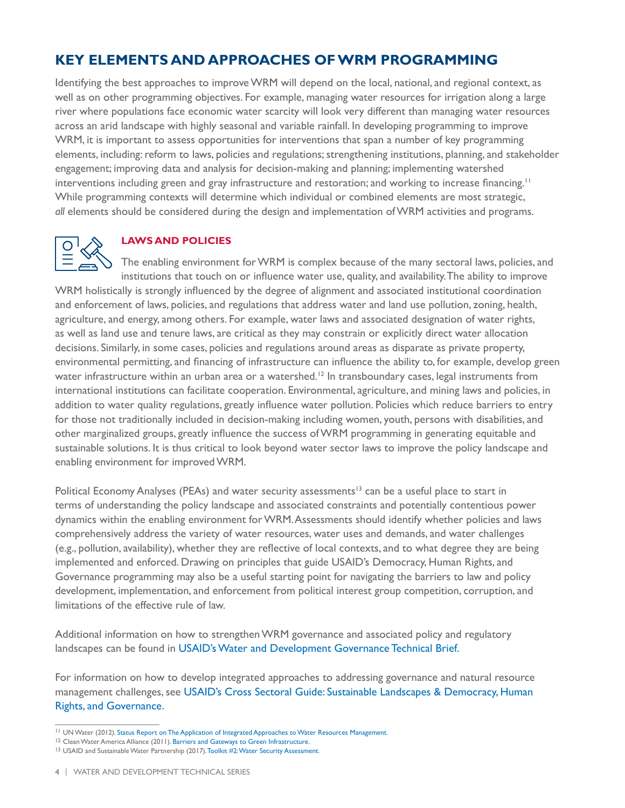## **KEY ELEMENTS AND APPROACHES OF WRM PROGRAMMING**

Identifying the best approaches to improve WRM will depend on the local, national, and regional context, as well as on other programming objectives. For example, managing water resources for irrigation along a large river where populations face economic water scarcity will look very different than managing water resources across an arid landscape with highly seasonal and variable rainfall. In developing programming to improve WRM, it is important to assess opportunities for interventions that span a number of key programming elements, including: reform to laws, policies and regulations; strengthening institutions, planning, and stakeholder engagement; improving data and analysis for decision-making and planning; implementing watershed interventions including green and gray infrastructure and restoration; and working to increase financing.<sup>11</sup> While programming contexts will determine which individual or combined elements are most strategic, *all* elements should be considered during the design and implementation of WRM activities and programs.



#### **LAWS AND POLICIES**

The enabling environment for WRM is complex because of the many sectoral laws, policies, and institutions that touch on or influence water use, quality, and availability. The ability to improve WRM holistically is strongly influenced by the degree of alignment and associated institutional coordination and enforcement of laws, policies, and regulations that address water and land use pollution, zoning, health, agriculture, and energy, among others. For example, water laws and associated designation of water rights, as well as land use and tenure laws, are critical as they may constrain or explicitly direct water allocation decisions. Similarly, in some cases, policies and regulations around areas as disparate as private property, environmental permitting, and financing of infrastructure can influence the ability to, for example, develop green water infrastructure within an urban area or a watershed.<sup>12</sup> In transboundary cases, legal instruments from international institutions can facilitate cooperation. Environmental, agriculture, and mining laws and policies, in addition to water quality regulations, greatly influence water pollution. Policies which reduce barriers to entry for those not traditionally included in decision-making including women, youth, persons with disabilities, and other marginalized groups, greatly influence the success of WRM programming in generating equitable and sustainable solutions. It is thus critical to look beyond water sector laws to improve the policy landscape and enabling environment for improved WRM.

Political Economy Analyses (PEAs) and water security assessments<sup>13</sup> can be a useful place to start in terms of understanding the policy landscape and associated constraints and potentially contentious power dynamics within the enabling environment for WRM. Assessments should identify whether policies and laws comprehensively address the variety of water resources, water uses and demands, and water challenges (e.g., pollution, availability), whether they are reflective of local contexts, and to what degree they are being implemented and enforced. Drawing on principles that guide USAID's Democracy, Human Rights, and Governance programming may also be a useful starting point for navigating the barriers to law and policy development, implementation, and enforcement from political interest group competition, corruption, and limitations of the effective rule of law.

Additional information on how to strengthen WRM governance and associated policy and regulatory landscapes can be found in [USAID's Water and Development Governance Technical Brief.](https://www.globalwaters.org/resources/assets/usaid-water-and-development-technical-series-wash-governance)

For information on how to develop integrated approaches to addressing governance and natural resource management challenges, see [USAID's Cross Sectoral Guide: Sustainable Landscapes & Democracy, Human](https://pdf.usaid.gov/pdf_docs/PA00XD46.pdf)  [Rights, and Governance.](https://pdf.usaid.gov/pdf_docs/PA00XD46.pdf)

<sup>&</sup>lt;sup>11</sup> UN Water (2012). [Status Report on The Application of Integrated Approaches to Water Resources Management.](https://www.un.org/waterforlifedecade/pdf/un_water_status_report_2012.pdf)<br><sup>12</sup> Clean Water America Alliance (2011). [Barriers and Gateways to Green Infrastructure](http://uswateralliance.org/sites/uswateralliance.org/files/publications/Barriers-and-Gateways-to-Green-Infrastructure.pdf).

<sup>&</sup>lt;sup>13</sup> USAID and Sustainable Water Partnership (2017). [Toolkit #2: Water Security Assessment.](https://www.globalwaters.org/sites/default/files/SWP_Toolkit-2_Water_Security_Assessment.pdf)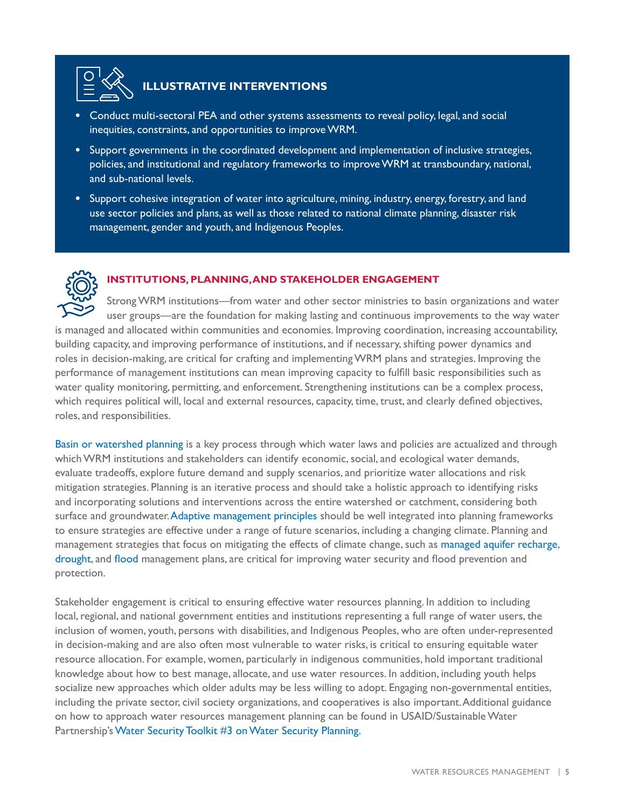

## **ILLUSTRATIVE INTERVENTIONS**

- **•** Conduct multi-sectoral PEA and other systems assessments to reveal policy, legal, and social inequities, constraints, and opportunities to improve WRM.
- **•** Support governments in the coordinated development and implementation of inclusive strategies, policies, and institutional and regulatory frameworks to improve WRM at transboundary, national, and sub-national levels.
- **•** Support cohesive integration of water into agriculture, mining, industry, energy, forestry, and land use sector policies and plans, as well as those related to national climate planning, disaster risk management, gender and youth, and Indigenous Peoples.



#### **INSTITUTIONS, PLANNING, AND STAKEHOLDER ENGAGEMENT**

Strong WRM institutions—from water and other sector ministries to basin organizations and water user groups—are the foundation for making lasting and continuous improvements to the way water is managed and allocated within communities and economies. Improving coordination, increasing accountability, building capacity, and improving performance of institutions, and if necessary, shifting power dynamics and roles in decision-making, are critical for crafting and implementing WRM plans and strategies. Improving the performance of management institutions can mean improving capacity to fulfill basic responsibilities such as water quality monitoring, permitting, and enforcement. Strengthening institutions can be a complex process, which requires political will, local and external resources, capacity, time, trust, and clearly defined objectives, roles, and responsibilities.

[Basin or watershed planning](https://www.adb.org/sites/default/files/publication/30248/river-basin-planning.pdf) is a key process through which water laws and policies are actualized and through which WRM institutions and stakeholders can identify economic, social, and ecological water demands, evaluate tradeoffs, explore future demand and supply scenarios, and prioritize water allocations and risk mitigation strategies. Planning is an iterative process and should take a holistic approach to identifying risks and incorporating solutions and interventions across the entire watershed or catchment, considering both surface and groundwater. [Adaptive management principles](https://www.doi.gov/sites/doi.gov/files/migrated/ppa/upload/Chapter1.pdf) should be well integrated into planning frameworks to ensure strategies are effective under a range of future scenarios, including a changing climate. Planning and management strategies that focus on mitigating the effects of climate change, such as [managed aquifer recharge](https://www.americangeosciences.org/geoscience-currents/managed-aquifer-recharge), [drought](https://climate-adapt.eea.europa.eu/metadata/guidances/guidelines-for-preparation-of-the-drought-management-plans-1/guidelines-preparation-drought), and [flood](https://pdf.usaid.gov/pdf_docs/pbaah355.pdf) management plans, are critical for improving water security and flood prevention and protection.

Stakeholder engagement is critical to ensuring effective water resources planning. In addition to including local, regional, and national government entities and institutions representing a full range of water users, the inclusion of women, youth, persons with disabilities, and Indigenous Peoples, who are often under-represented in decision-making and are also often most vulnerable to water risks, is critical to ensuring equitable water resource allocation. For example, women, particularly in indigenous communities, hold important traditional knowledge about how to best manage, allocate, and use water resources. In addition, including youth helps socialize new approaches which older adults may be less willing to adopt. Engaging non-governmental entities, including the private sector, civil society organizations, and cooperatives is also important. Additional guidance on how to approach water resources management planning can be found in USAID/Sustainable Water Partnership's [Water Security Toolkit #3 on Water Security Planning.](https://www.globalwaters.org/sites/default/files/SWP_Toolkit-3_Water-Security-Planning.pdf)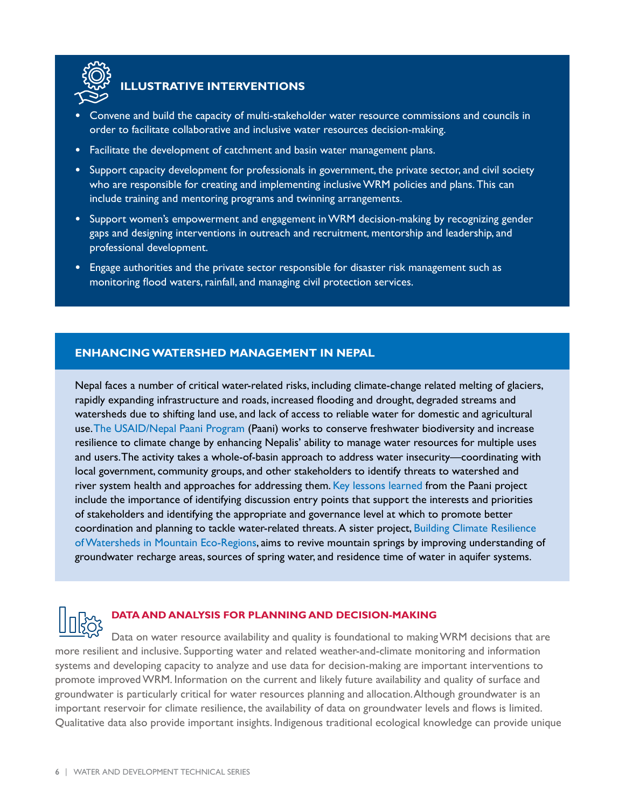

## **ILLUSTRATIVE INTERVENTIONS**

- **•** Convene and build the capacity of multi-stakeholder water resource commissions and councils in order to facilitate collaborative and inclusive water resources decision-making.
- **•** Facilitate the development of catchment and basin water management plans.
- **•** Support capacity development for professionals in government, the private sector, and civil society who are responsible for creating and implementing inclusive WRM policies and plans. This can include training and mentoring programs and twinning arrangements.
- **•** Support women's empowerment and engagement in WRM decision-making by recognizing gender gaps and designing interventions in outreach and recruitment, mentorship and leadership, and professional development.
- **•** Engage authorities and the private sector responsible for disaster risk management such as monitoring flood waters, rainfall, and managing civil protection services.

#### **ENHANCING WATERSHED MANAGEMENT IN NEPAL**

Nepal faces a number of critical water-related risks, including climate-change related melting of glaciers, rapidly expanding infrastructure and roads, increased flooding and drought, degraded streams and watersheds due to shifting land use, and lack of access to reliable water for domestic and agricultural use. [The USAID/Nepal Paani Program](https://www.usaid.gov/nepal/fact-sheets/paani-program) (Paani) works to conserve freshwater biodiversity and increase resilience to climate change by enhancing Nepalis' ability to manage water resources for multiple uses and users. The activity takes a whole-of-basin approach to address water insecurity—coordinating with local government, community groups, and other stakeholders to identify threats to watershed and river system health and approaches for addressing them. [Key lessons learned](https://medium.com/@bridgebiointegration/investing-in-prosperity-5c1e8622df4b) from the Paani project include the importance of identifying discussion entry points that support the interests and priorities of stakeholders and identifying the appropriate and governance level at which to promote better coordination and planning to tackle water-related threats. A sister project, [Building Climate Resilience](http://www.iwmi.cgiar.org/Publications/Other/PDF/iwmi-in-nepal.pdf)  [of Watersheds in Mountain Eco-Regions](http://www.iwmi.cgiar.org/Publications/Other/PDF/iwmi-in-nepal.pdf), aims to revive mountain springs by improving understanding of groundwater recharge areas, sources of spring water, and residence time of water in aquifer systems.



#### **DATA AND ANALYSIS FOR PLANNING AND DECISION-MAKING**

Data on water resource availability and quality is foundational to making WRM decisions that are more resilient and inclusive. Supporting water and related weather-and-climate monitoring and information systems and developing capacity to analyze and use data for decision-making are important interventions to promote improved WRM. Information on the current and likely future availability and quality of surface and groundwater is particularly critical for water resources planning and allocation. Although groundwater is an important reservoir for climate resilience, the availability of data on groundwater levels and flows is limited. Qualitative data also provide important insights. Indigenous traditional ecological knowledge can provide unique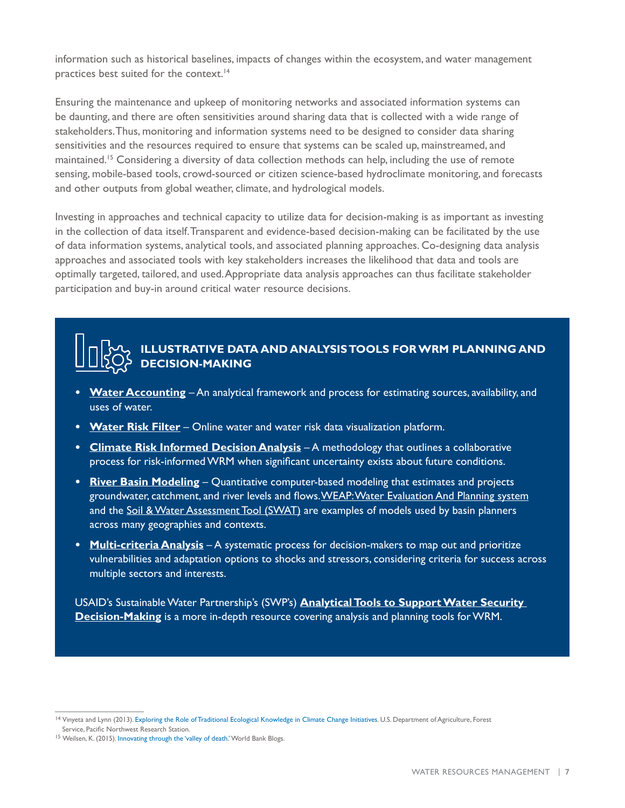information such as historical baselines, impacts of changes within the ecosystem, and water management practices best suited for the context.<sup>14</sup>

Ensuring the maintenance and upkeep of monitoring networks and associated information systems can be daunting, and there are often sensitivities around sharing data that is collected with a wide range of stakeholders. Thus, monitoring and information systems need to be designed to consider data sharing sensitivities and the resources required to ensure that systems can be scaled up, mainstreamed, and maintained.15 Considering a diversity of data collection methods can help, including the use of remote sensing, mobile-based tools, crowd-sourced or citizen science-based hydroclimate monitoring, and forecasts and other outputs from global weather, climate, and hydrological models.

Investing in approaches and technical capacity to utilize data for decision-making is as important as investing in the collection of data itself. Transparent and evidence-based decision-making can be facilitated by the use of data information systems, analytical tools, and associated planning approaches. Co-designing data analysis approaches and associated tools with key stakeholders increases the likelihood that data and tools are optimally targeted, tailored, and used. Appropriate data analysis approaches can thus facilitate stakeholder participation and buy-in around critical water resource decisions.

### **ILLUSTRATIVE DATA AND ANALYSIS TOOLS FOR WRM PLANNING AND DECISION-MAKING**

- **• [Water Accounting](https://www.wateraccounting.org/index.html)** An analytical framework and process for estimating sources, availability, and uses of water.
- **• [Water Risk Filter](https://waterriskfilter.panda.org/en/Explore/Introduction)** Online water and water risk data visualization platform.
- **• [Climate Risk Informed Decision Analysis](https://unesdoc.unesco.org/ark:/48223/pf0000265895)** A methodology that outlines a collaborative process for risk-informed WRM when significant uncertainty exists about future conditions.
- **• [River Basin Modeling](https://www.un-ihe.org/river-basin-modelling)** Quantitative computer-based modeling that estimates and projects groundwater, catchment, and river levels and flows. [WEAP: Water Evaluation And Planning system](https://www.weap21.org/) and the [Soil & Water Assessment Tool \(SWAT\)](https://swat.tamu.edu/) are examples of models used by basin planners across many geographies and contexts.
- **• [Multi-criteria Analysis](https://www.climatelinks.org/resources/analyzing-climate-change-adaptation-options-using-multi-criteria-analysis)** A systematic process for decision-makers to map out and prioritize vulnerabilities and adaptation options to shocks and stressors, considering criteria for success across multiple sectors and interests.

USAID's Sustainable Water Partnership's (SWP's) **[Analytical Tools to Support Water Security](https://www.swpwater.org/wp-content/uploads/2018/03/20180320-SWP-Analytical-Tools-Supporting-Paper.pdf)  [Decision-Making](https://www.swpwater.org/wp-content/uploads/2018/03/20180320-SWP-Analytical-Tools-Supporting-Paper.pdf)** is a more in-depth resource covering analysis and planning tools for WRM.

<sup>&</sup>lt;sup>14</sup> Vinyeta and Lynn (2013). [Exploring the Role of Traditional Ecological Knowledge in Climate Change Initiatives](https://www.fs.fed.us/pnw/pubs/pnw_gtr879.pdf). U.S. Department of Agriculture, Forest Service, Pacific Northwest Research Station.

<sup>15</sup> Weilsen, K. (2015). [Innovating through the 'valley of death.'](https://blogs.worldbank.org/water/innovating-through-valley-death) World Bank Blogs.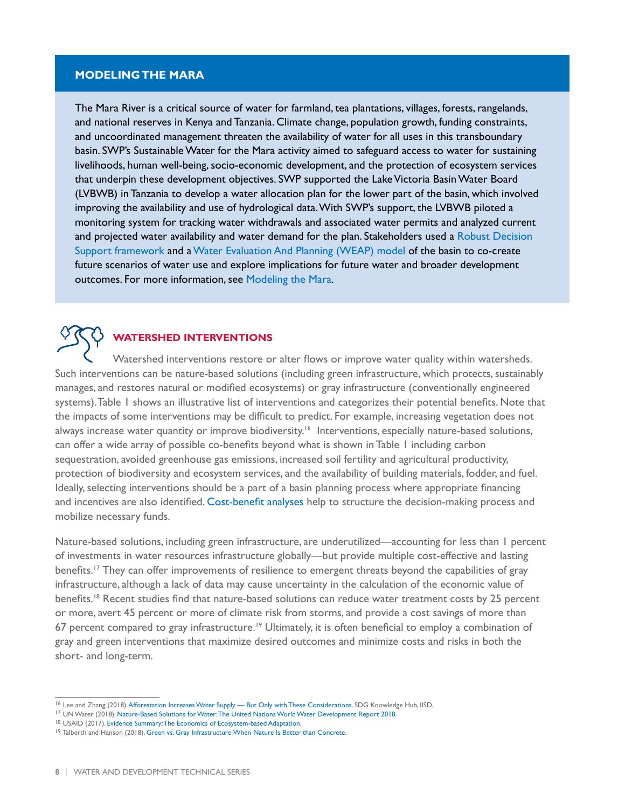#### **MODELING THE MARA**

The Mara River is a critical source of water for farmland, tea plantations, villages, forests, rangelands, and national reserves in Kenya and Tanzania. Climate change, population growth, funding constraints, and uncoordinated management threaten the availability of water for all uses in this transboundary basin. [SWP's](https://www.globalwaters.org/swp) Sustainable Water for the Mara activity aimed to safeguard access to water for sustaining livelihoods, human well-being, socio-economic development, and the protection of ecosystem services that underpin these development objectives. SWP supported the Lake Victoria Basin Water Board (LVBWB) in Tanzania to develop a water allocation plan for the lower part of the basin, which involved improving the availability and use of hydrological data.With SWP's support, the LVBWB piloted a monitoring system for tracking water withdrawals and associated water permits and analyzed current and projected water availability and water demand for the plan. Stakeholders used a Robust Decision [Support framework](https://www.weadapt.org/knowledge-base/adaptation-decision-making/robust-decision-support) and a [Water Evaluation And Planning \(WEAP\) model](https://www.swpwater.org/resource/mara-river-basin-weap-model/) of the basin to co-create future scenarios of water use and explore implications for future water and broader development outcomes. For more information, see [Modeling the Mara.](https://www.swpwater.org/modeling-the-mara/)

### **WATERSHED INTERVENTIONS**

Watershed interventions restore or alter flows or improve water quality within watersheds. Such interventions can be nature-based solutions (including green infrastructure, which protects, sustainably manages, and restores natural or modified ecosystems) or gray infrastructure (conventionally engineered systems). Table 1 shows an illustrative list of interventions and categorizes their potential benefits. Note that the impacts of some interventions may be difficult to predict. For example, increasing vegetation does not always increase water quantity or improve biodiversity.<sup>16</sup> Interventions, especially nature-based solutions, can offer a wide array of possible co-benefits beyond what is shown in Table 1 including carbon sequestration, avoided greenhouse gas emissions, increased soil fertility and agricultural productivity, protection of biodiversity and ecosystem services, and the availability of building materials, fodder, and fuel. Ideally, selecting interventions should be a part of a basin planning process where appropriate financing and incentives are also identified. [Cost-benefit analyses](https://www.epa.gov/green-infrastructure/green-infrastructure-cost-benefit-resources) help to structure the decision-making process and mobilize necessary funds.

Nature-based solutions, including green infrastructure, are underutilized—accounting for less than 1 percent of investments in water resources infrastructure globally—but provide multiple cost-effective and lasting benefits.17 They can offer improvements of resilience to emergent threats beyond the capabilities of gray infrastructure, although a lack of data may cause uncertainty in the calculation of the economic value of benefits.<sup>18</sup> Recent studies find that nature-based solutions can reduce water treatment costs by 25 percent or more, avert 45 percent or more of climate risk from storms, and provide a cost savings of more than 67 percent compared to gray infrastructure.<sup>19</sup> Ultimately, it is often beneficial to employ a combination of gray and green interventions that maximize desired outcomes and minimize costs and risks in both the short- and long-term.

<sup>&</sup>lt;sup>16</sup> Lee and Zhang (2018)[. Afforestation Increases Water Supply — But Only with These Considerations.](https://www.epa.gov/green-infrastructure/green-infrastructure-cost-benefit-resources) SDG Knowledge Hub, IISD.<br><sup>17</sup> UN Water (2018). Nature-Based Solutions for Water: The United Nations World Water Develop

<sup>&</sup>lt;sup>19</sup> Talberth and Hanson (2018). [Green vs. Gray Infrastructure: When Nature Is Better than Concrete](https://wri-indonesia.org/en/blog/green-vs-gray-infrastructure-when-nature-better-concrete).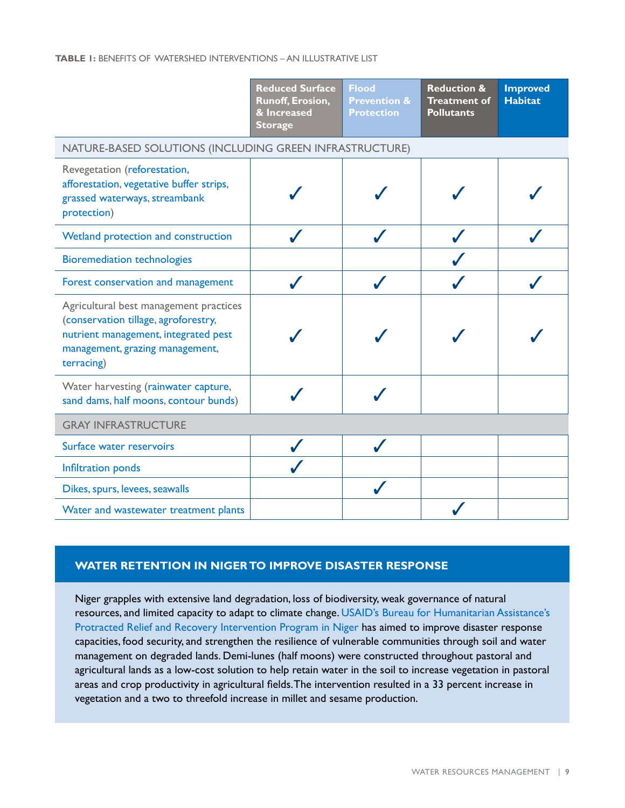#### **TABLE 1:** BENEFITS OF WATERSHED INTERVENTIONS – AN ILLUSTRATIVE LIST

|                                                                                                                                                                         | <b>Reduced Surface</b><br><b>Runoff, Erosion,</b><br>& Increased<br><b>Storage</b> | <b>Flood</b><br><b>Prevention &amp;</b><br><b>Protection</b> | <b>Reduction &amp;</b><br><b>Treatment of</b><br><b>Pollutants</b> | <b>Improved</b><br><b>Habitat</b> |
|-------------------------------------------------------------------------------------------------------------------------------------------------------------------------|------------------------------------------------------------------------------------|--------------------------------------------------------------|--------------------------------------------------------------------|-----------------------------------|
| NATURE-BASED SOLUTIONS (INCLUDING GREEN INFRASTRUCTURE)                                                                                                                 |                                                                                    |                                                              |                                                                    |                                   |
| Revegetation (reforestation,<br>afforestation, vegetative buffer strips,<br>grassed waterways, streambank<br>protection)                                                |                                                                                    |                                                              |                                                                    |                                   |
| Wetland protection and construction                                                                                                                                     |                                                                                    |                                                              |                                                                    |                                   |
| <b>Bioremediation technologies</b>                                                                                                                                      |                                                                                    |                                                              |                                                                    |                                   |
| Forest conservation and management                                                                                                                                      |                                                                                    |                                                              |                                                                    |                                   |
| Agricultural best management practices<br>(conservation tillage, agroforestry,<br>nutrient management, integrated pest<br>management, grazing management,<br>terracing) |                                                                                    |                                                              |                                                                    |                                   |
| Water harvesting (rainwater capture,<br>sand dams, half moons, contour bunds)                                                                                           |                                                                                    |                                                              |                                                                    |                                   |
| <b>GRAY INFRASTRUCTURE</b>                                                                                                                                              |                                                                                    |                                                              |                                                                    |                                   |
| Surface water reservoirs                                                                                                                                                |                                                                                    |                                                              |                                                                    |                                   |
| Infiltration ponds                                                                                                                                                      |                                                                                    |                                                              |                                                                    |                                   |
| Dikes, spurs, levees, seawalls                                                                                                                                          |                                                                                    |                                                              |                                                                    |                                   |
| Water and wastewater treatment plants                                                                                                                                   |                                                                                    |                                                              |                                                                    |                                   |

#### **WATER RETENTION IN NIGER TO IMPROVE DISASTER RESPONSE**

Niger grapples with extensive land degradation, loss of biodiversity, weak governance of natural resources, and limited capacity to adapt to climate change. [USAID's Bureau for Humanitarian Assistance's](https://www.wfp.org/publications/niger-prro-200961-mid-term-evaluation)  [Protracted Relief and Recovery Intervention Program in Niger](https://www.wfp.org/publications/niger-prro-200961-mid-term-evaluation) has aimed to improve disaster response capacities, food security, and strengthen the resilience of vulnerable communities through soil and water management on degraded lands. Demi-lunes (half moons) were constructed throughout pastoral and agricultural lands as a low-cost solution to help retain water in the soil to increase vegetation in pastoral areas and crop productivity in agricultural fields. The intervention resulted in a 33 percent increase in vegetation and a two to threefold increase in millet and sesame production.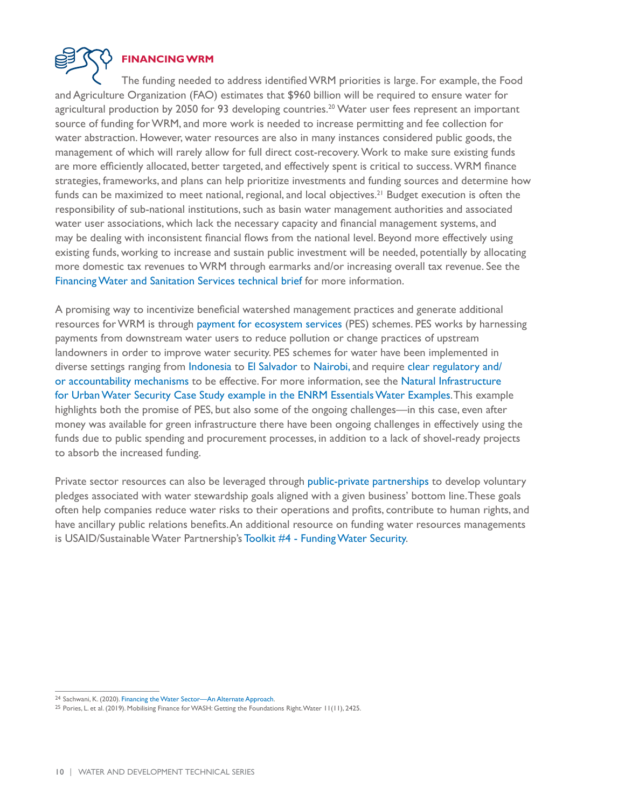

#### **FINANCING WRM**

The funding needed to address identified WRM priorities is large. For example, the Food and Agriculture Organization (FAO) estimates that \$960 billion will be required to ensure water for agricultural production by 2050 for 93 developing countries.<sup>20</sup> Water user fees represent an important source of funding for WRM, and more work is needed to increase permitting and fee collection for water abstraction. However, water resources are also in many instances considered public goods, the management of which will rarely allow for full direct cost-recovery. Work to make sure existing funds are more efficiently allocated, better targeted, and effectively spent is critical to success. WRM finance strategies, frameworks, and plans can help prioritize investments and funding sources and determine how funds can be maximized to meet national, regional, and local objectives.<sup>21</sup> Budget execution is often the responsibility of sub-national institutions, such as basin water management authorities and associated water user associations, which lack the necessary capacity and financial management systems, and may be dealing with inconsistent financial flows from the national level. Beyond more effectively using existing funds, working to increase and sustain public investment will be needed, potentially by allocating more domestic tax revenues to WRM through earmarks and/or increasing overall tax revenue. See the [Financing Water and Sanitation Services technical brief](https://www.globalwaters.org/resources/assets/usaid-water-and-development-technical-series-financing-water-and-sanitation) for more information.

A promising way to incentivize beneficial watershed management practices and generate additional resources for WRM is through [payment for ecosystem services](https://wwf.panda.org/discover/knowledge_hub/where_we_work/black_sea_basin/danube_carpathian/our_solutions/green_economy/pes/?) (PES) schemes. PES works by harnessing payments from downstream water users to reduce pollution or change practices of upstream landowners in order to improve water security. PES schemes for water have been implemented in diverse settings ranging from [Indonesia](https://pdf.usaid.gov/pdf_docs/PA00N3F2.pdf) to [El Salvador](https://www.usaid.gov/sites/default/files/documents/1862/Fact_Sheet_-_Regional_Coastal_Biodiversity_Project.pdf) to [Nairobi,](https://www.climatelinks.org/sites/default/files/asset/document/2018_USAID-PREPARED_Experiences-Lessons-Learned-in-Payments-for-Ecosystem-Services.pdf) and require [clear regulatory and/](https://pubs.iied.org/sites/default/files/pdfs/migrate/13542IIED.pdf) [or accountability mechanisms](https://pubs.iied.org/sites/default/files/pdfs/migrate/13542IIED.pdf) to be effective. For more information, see the Natural Infrastructure for Urban Water Security Case Study example in the ENRM Essentials Water Examples. This example highlights both the promise of PES, but also some of the ongoing challenges—in this case, even after money was available for green infrastructure there have been ongoing challenges in effectively using the funds due to public spending and procurement processes, in addition to a lack of shovel-ready projects to absorb the increased funding.

Private sector resources can also be leveraged through [public-private partnerships](https://www.swpwater.org/wp-content/uploads/2017/10/Private-Sector-Engagement-in-the-Water-Security-Improvement-Process.pdf) to develop voluntary pledges associated with water stewardship goals aligned with a given business' bottom line. These goals often help companies reduce water risks to their operations and profits, contribute to human rights, and have ancillary public relations benefits. An additional resource on funding water resources managements is USAID/Sustainable Water Partnership's [Toolkit #4 - Funding Water Security.](https://www.globalwaters.org/sites/default/files/swp-toolkit-4-funding-water-security.pdf)

<sup>24</sup> Sachwani, K. (2020). [Financing the Water Sector—An Alternate Approach](https://www.2030wrg.org/financing-the-water-sector-an-alternate-approach/).

<sup>25</sup> Pories, L. et al. (2019). [Mobilising Finance for WASH: Getting the Foundations Right](https://www.mdpi.com/2073-4441/11/11/2425). Water 11(11), 2425.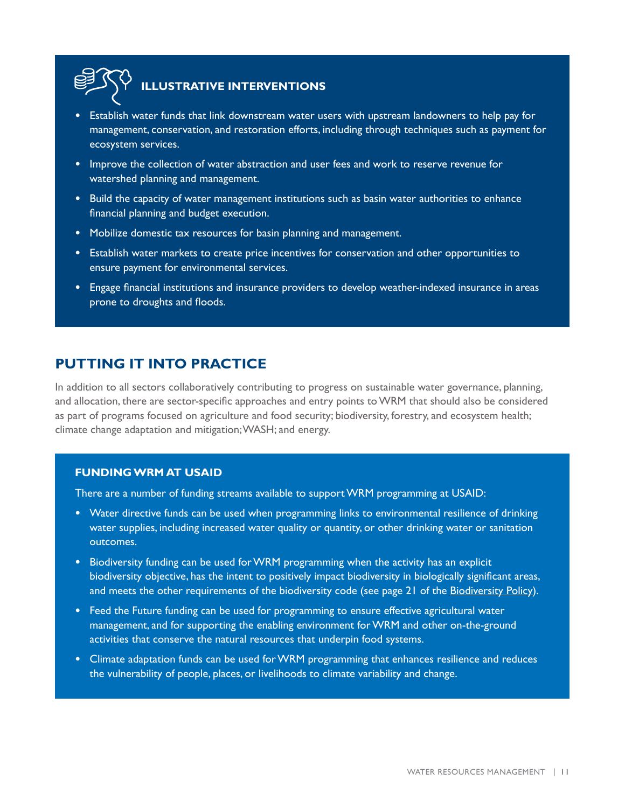

## **ILLUSTRATIVE INTERVENTIONS**

- **•** Establish water funds that link downstream water users with upstream landowners to help pay for management, conservation, and restoration efforts, including through techniques such as payment for ecosystem services.
- **•** Improve the collection of water abstraction and user fees and work to reserve revenue for watershed planning and management.
- **•** Build the capacity of water management institutions such as basin water authorities to enhance financial planning and budget execution.
- **•** Mobilize domestic tax resources for basin planning and management.
- **•** Establish water markets to create price incentives for conservation and other opportunities to ensure payment for environmental services.
- **•** Engage financial institutions and insurance providers to develop weather-indexed insurance in areas prone to droughts and floods.

### **PUTTING IT INTO PRACTICE**

In addition to all sectors collaboratively contributing to progress on sustainable water governance, planning, and allocation, there are sector-specific approaches and entry points to WRM that should also be considered as part of programs focused on agriculture and food security; biodiversity, forestry, and ecosystem health; climate change adaptation and mitigation; WASH; and energy.

#### **FUNDING WRM AT USAID**

There are a number of funding streams available to support WRM programming at USAID:

- **•** Water directive funds can be used when programming links to environmental resilience of drinking water supplies, including increased water quality or quantity, or other drinking water or sanitation outcomes.
- **•** Biodiversity funding can be used for WRM programming when the activity has an explicit biodiversity objective, has the intent to positively impact biodiversity in biologically significant areas, and meets the other requirements of the biodiversity code (see page 21 of the [Biodiversity Policy](https://www.usaid.gov/biodiversity/policy)).
- **•** Feed the Future funding can be used for programming to ensure effective agricultural water management, and for supporting the enabling environment for WRM and other on-the-ground activities that conserve the natural resources that underpin food systems.
- **•** Climate adaptation funds can be used for WRM programming that enhances resilience and reduces the vulnerability of people, places, or livelihoods to climate variability and change.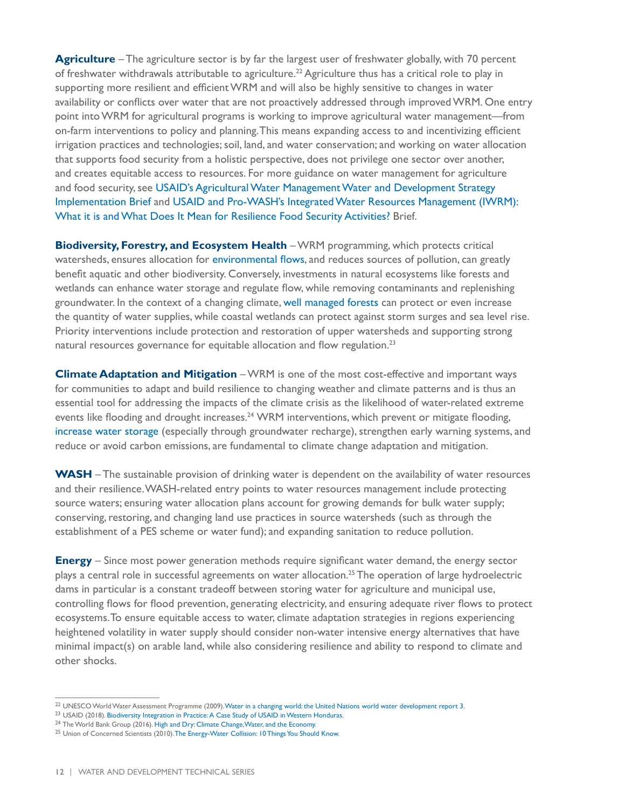**Agriculture** – The agriculture sector is by far the largest user of freshwater globally, with 70 percent of freshwater withdrawals attributable to agriculture.<sup>22</sup> Agriculture thus has a critical role to play in supporting more resilient and efficient WRM and will also be highly sensitive to changes in water availability or conflicts over water that are not proactively addressed through improved WRM. One entry point into WRM for agricultural programs is working to improve agricultural water management—from on-farm interventions to policy and planning. This means expanding access to and incentivizing efficient irrigation practices and technologies; soil, land, and water conservation; and working on water allocation that supports food security from a holistic perspective, does not privilege one sector over another, and creates equitable access to resources. For more guidance on water management for agriculture and food security, see [USAID's Agricultural Water Management Water and Development Strategy](https://www.usaid.gov/sites/default/files/documents/1865/Ag Water Management_Implementation Brief_Jan 2015.pdf)  [Implementation Brief](https://www.usaid.gov/sites/default/files/documents/1865/Ag Water Management_Implementation Brief_Jan 2015.pdf) and [USAID and Pro-WASH's Integrated Water Resources Management \(IWRM\):](https://www.fsnnetwork.org/resource/integrated-water-resources-management-iwrm-what-it-and-what-does-it-mean-resilience-food)  [What it is and What Does It Mean for Resilience Food Security Activities?](https://www.fsnnetwork.org/resource/integrated-water-resources-management-iwrm-what-it-and-what-does-it-mean-resilience-food) Brief.

**Biodiversity, Forestry, and Ecosystem Health** – WRM programming, which protects critical watersheds, ensures allocation for [environmental flows](https://www.globalwaters.org/sites/default/files/Environmental-Flows-Technical-Guidance-Manual.pdf), and reduces sources of pollution, can greatly benefit aquatic and other biodiversity. Conversely, investments in natural ecosystems like forests and wetlands can enhance water storage and regulate flow, while removing contaminants and replenishing groundwater. In the context of a changing climate, [well managed forests](https://www.usaid.gov/India/partnership-sustainable-forests-india) can protect or even increase the quantity of water supplies, while coastal wetlands can protect against storm surges and sea level rise. Priority interventions include protection and restoration of upper watersheds and supporting strong natural resources governance for equitable allocation and flow regulation.<sup>23</sup>

**Climate Adaptation and Mitigation** – WRM is one of the most cost-effective and important ways for communities to adapt and build resilience to changing weather and climate patterns and is thus an essential tool for addressing the impacts of the climate crisis as the likelihood of water-related extreme events like flooding and drought increases.<sup>24</sup> WRM interventions, which prevent or mitigate flooding, [increase water storage](https://www.gwp.org/globalassets/global/toolbox/publications/perspective-papers/perspectives-paper-on-water-storage.pdf) (especially through groundwater recharge), strengthen early warning systems, and reduce or avoid carbon emissions, are fundamental to climate change adaptation and mitigation.

**WASH** – The sustainable provision of drinking water is dependent on the availability of water resources and their resilience. WASH-related entry points to water resources management include protecting source waters; ensuring water allocation plans account for growing demands for bulk water supply; conserving, restoring, and changing land use practices in source watersheds (such as through the establishment of a PES scheme or water fund); and expanding sanitation to reduce pollution.

**Energy** – Since most power generation methods require significant water demand, the energy sector plays a central role in successful agreements on water allocation.25 The operation of large hydroelectric dams in particular is a constant tradeoff between storing water for agriculture and municipal use, controlling flows for flood prevention, generating electricity, and ensuring adequate river flows to protect ecosystems. To ensure equitable access to water, climate adaptation strategies in regions experiencing heightened volatility in water supply should consider non-water intensive energy alternatives that have minimal impact(s) on arable land, while also considering resilience and ability to respond to climate and other shocks.

<sup>&</sup>lt;sup>22</sup> UNESCO World Water Assessment Programme (2009). [Water in a changing world: the United Nations world water development report 3](https://unesdoc.unesco.org/ark:/48223/pf0000181993).<br><sup>23</sup> USAID (2018). Biodiversity Integration in Practice: A Case Study of USAID in Wester

<sup>&</sup>lt;sup>25</sup> Union of Concerned Scientists (2010). [The Energy-Water Collision: 10 Things You Should Know](http://www.southernclimate.org/documents/resources/energy-water.pdf).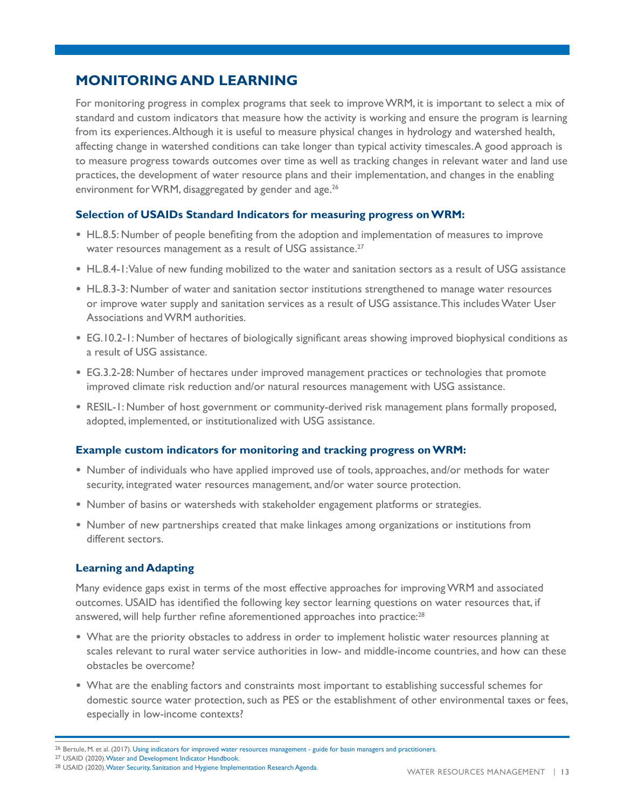## **MONITORING AND LEARNING**

For monitoring progress in complex programs that seek to improve WRM, it is important to select a mix of standard and custom indicators that measure how the activity is working and ensure the program is learning from its experiences. Although it is useful to measure physical changes in hydrology and watershed health, affecting change in watershed conditions can take longer than typical activity timescales. A good approach is to measure progress towards outcomes over time as well as tracking changes in relevant water and land use practices, the development of water resource plans and their implementation, and changes in the enabling environment for WRM, disaggregated by gender and age.<sup>26</sup>

#### **Selection of USAIDs Standard Indicators for measuring progress on WRM:**

- **•** HL.8.5: Number of people benefiting from the adoption and implementation of measures to improve water resources management as a result of USG assistance.<sup>27</sup>
- **•** HL.8.4-1: Value of new funding mobilized to the water and sanitation sectors as a result of USG assistance
- **•** HL.8.3-3: Number of water and sanitation sector institutions strengthened to manage water resources or improve water supply and sanitation services as a result of USG assistance. This includes Water User Associations and WRM authorities.
- **•** EG.10.2-1: Number of hectares of biologically significant areas showing improved biophysical conditions as a result of USG assistance.
- **•** EG.3.2-28: Number of hectares under improved management practices or technologies that promote improved climate risk reduction and/or natural resources management with USG assistance.
- **•** RESIL-1: Number of host government or community-derived risk management plans formally proposed, adopted, implemented, or institutionalized with USG assistance.

#### **Example custom indicators for monitoring and tracking progress on WRM:**

- **•** Number of individuals who have applied improved use of tools, approaches, and/or methods for water security, integrated water resources management, and/or water source protection.
- **•** Number of basins or watersheds with stakeholder engagement platforms or strategies.
- **•** Number of new partnerships created that make linkages among organizations or institutions from different sectors.

#### **Learning and Adapting**

Many evidence gaps exist in terms of the most effective approaches for improving WRM and associated outcomes. USAID has identified the following key sector learning questions on water resources that, if answered, will help further refine aforementioned approaches into practice:<sup>28</sup>

- **•** What are the priority obstacles to address in order to implement holistic water resources planning at scales relevant to rural water service authorities in low- and middle-income countries, and how can these obstacles be overcome?
- **•** What are the enabling factors and constraints most important to establishing successful schemes for domestic source water protection, such as PES or the establishment of other environmental taxes or fees, especially in low-income contexts?

<sup>&</sup>lt;sup>26</sup> Bertule, M. et al. (2017). [Using indicators for improved water resources management - guide for basin managers and practitioners.](https://ian.umces.edu/pdfs/ian_report_560.pdf) <sup>27</sup> USAID (2020). [Water and Development Indicator Handbook](https://www.globalwaters.org/resources/assets/water-and-development-indicator-handbook).

<sup>&</sup>lt;sup>28</sup> USAID (2020). [Water Security, Sanitation and Hygiene Implementation Research Agenda](https://www.globalwaters.org/sites/default/files/usaid_water_research_agenda_508.pdf).